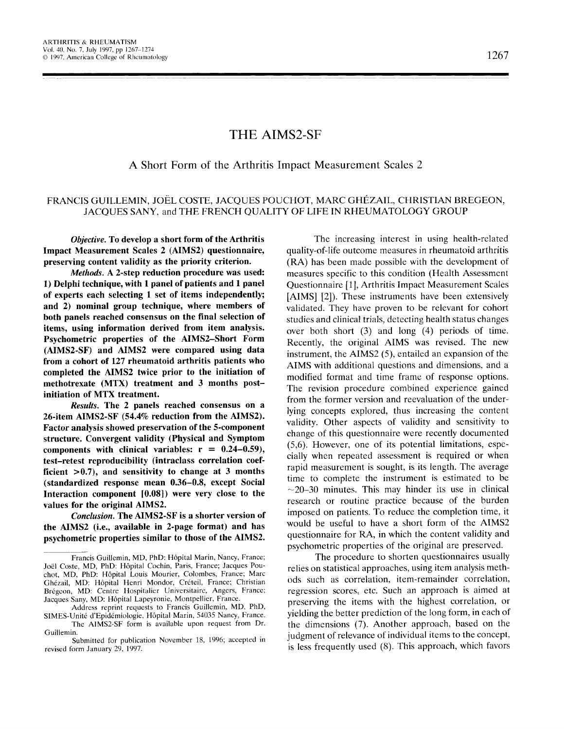# THE AIMS2-SF

**A** Short Form of the Arthritis Impact Measurement Scales 2

# FRANCIS GUILLEMIN, JOEL COSTE, JACQUES POUCHOT, MARC GHEZAIL, CHRISTIAN BREGEON, JACQUES SANY, and THE FRENCH QUALITY OF LIFE IN RHEUMATOLOGY GROUP

*Objective.* To develop a short form of the Arthritis Impact Measurement Scales 2 (AIMS2) questionnaire, preserving content validity as the priority criterion.

*Methods.* A 2-step reduction procedure was used: 1) Delphi technique, with 1 panel of patients and 1 panel of experts each selecting 1 set of items independently; and 2) nominal group technique, where members of both panels reached consensus on the final selection of items, using information derived from item analysis. Psychometric properties of the AIMS2-Short Form (AIMS2-SF) and AIMS2 were compared using data from a cohort of 127 rheumatoid arthritis patients who completed the AIMS2 twice prior to the initiation of methotrexate (MTX) treatment and 3 months postinitiation of MTX treatment.

*Results.* The 2 panels reached consensus on a 26-item AIMS2-SF (54.4% reduction from the AIMS2). Factor analysis showed preservation of the 5-component structure. Convergent validity (Physical and Symptom components with clinical variables:  $r = 0.24 - 0.59$ , test-retest reproducibility (intraclass correlation coefficient **>0.7),** and sensitivity to change at 3 months (standardized response mean 0.36-0.8, except Social Interaction component **[O.OS])** were very close to the values for the original AIMS2.

*Conclusion.* The AIMS2-SF is a shorter version of the AIMS2 (i.e., available in 2-page format) and has psychometric properties similar to those of the AIMS2.

The increasing interest in using health-related quality-of-life outcome measures in rheumatoid arthritis (RA) has been made possible with the development of measures specific to this condition (Health Assessment Questionnaire [1], Arthritis Impact Measurement Scales [AIMS] [2]). These instruments have been extensively validated. They have proven to be relevant for cohort studies and clinical trials, detecting health status changes over both short (3) and long (4) periods of time. Recently, the original AIMS was revised. The new instrument, the AIMS2 *(5),* entailed an expansion of the AIMS with additional questions and dimensions, and a modified format and time frame of response options. The revision procedure combined experience gained from the former version and reevaluation of the underlying concepts explored, thus increasing the content validity. Other aspects of validity and sensitivity to change of this questionnaire were recently documented *(5,6).* However, one of its potential limitations, especially when repeated assessment is required or when rapid measurement is sought, is its length. The average time to complete the instrument is estimated to be  $\sim$ 20–30 minutes. This may hinder its use in clinical research or routine practice because of the burden imposed on patients. To reduce the completion time, it would be useful to have a short form of the AIMS2 questionnaire for RA, in which the content validity and psychometric properties of the original are preserved.

The procedure to shorten questionnaires usually relies on statistical approaches, using item analysis methods such as correlation, item-remainder correlation, regression scores, etc. Such an approach is aimed at preserving the items with the highest correlation, or yielding the better prediction of the long form, in each of the dimensions (7). Another approach, based on the judgment of relevance of individual items to the concept, is less frequently used (8). This approach, which favors

Francis Guillemin, MD, PhD: Hôpital Marin, Nancy, France; Joël Coste, MD, PhD: Hôpital Cochin, Paris, France; Jacques Pouchot, MD, PhD: HGpital Louis Mourier, Colomhes, France; Marc Ghézail, MD: Hôpital Henri Mondor, Créteil, France; Christian Brégeon, MD: Centre Hospitalier Universitaire, Angers, France; Jacques Sany, MD: Hôpital Lapeyronie, Montpellier, France.

Address reprint requests to Francis Guillemin, MD, PhD, SIMES-Unité d'Epidémiologie, Hôpital Marin, 54035 Nancy, France. The AIMS2-SF form is available upon request from Dr.

Guillemin.

Submitted for publication November 18, 1996; accepted in revised form January 29, 1997.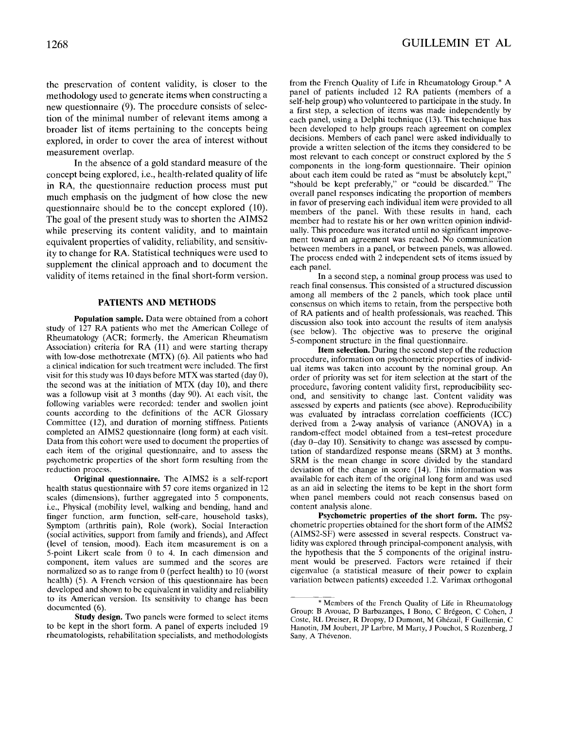the preservation of content validity, is closer to the methodology used to generate items when constructing a new questionnaire (9). The procedure consists of selection of the minimal number of relevant items among a broader list of items pertaining to the concepts being explored, in order to cover the area of interest without measurement overlap.

In the absence of a gold standard measure of the concept being explored, i.e., health-related quality of life in RA, the questionnaire reduction process must put much emphasis on the judgment of how close the new questionnaire should be to the concept explored (10). The goal of the present study was to shorten the **AIMS2**  while preserving its content validity, and to maintain equivalent properties of validity, reliability, and sensitivity to change for RA. Statistical techniques were used to supplement the clinical approach and to document the validity of items retained in the final short-form version.

#### **PATIENTS AND METHODS**

**Population sample.** Data were obtained from a cohort study of 127 RA patients who met the American College of Rheumatology (ACR; formerly, the American Rheumatism Association) criteria for RA (11) and were starting therapy with low-dose methotrexate (MTX) (6). All patients who had a clinical indication for such treatment were included. The first visit for this study was 10 days before MTX was started (day O), the second was at the initiation of MTX (day  $10$ ), and there was a followup visit at *3* months (day 90). At each visit, the following variables were recorded: tender and swollen joint counts according to the definitions of the ACR Glossary Committee (12), and duration of morning stiffness. Patients completed an AIMS2 questionnaire (long form) at each visit. Data from this cohort were used to document the properties of each item of the original questionnaire, and to assess the psychometric properties of the short form resulting from the reduction process.

**Original questionnaire.** The AIMS2 is a self-report health status questionnaire with 57 core items organized in 12 scales (dimensions), further aggregated into 5 components, i.e., Physical (mobility level, walking and bending, hand and finger function, arm function, self-care, household tasks), Symptom (arthritis pain), Role (work), Social Interaction (social activities, support from family and friends), and Affect (level of tension, mood). Each item measurement is on a 5-point Likert scale from 0 to 4. In each dimension and component, item values are summed and the scores are normalized so as to range from 0 (perfect health) to 10 (worst health) (5). A French version of this questionnaire has been developed and shown to be equivalent in validity and reliability to its American version. Its sensitivity to change has been documented (6).

**Study design.** Two panels were formed to select items to be kept in the short form. A panel of experts included 19 rheumatologists, rehabilitation specialists, and methodologists from the French Quality of Life in Rheumatology Group.\* A panel of patients included 12 RA patients (members of a self-help group) who volunteered to participate in the study. In a first step, a selection of items was made independently by each panel, using a Delphi technique (13). This technique has been developed to help groups reach agreement on complex decisions. Members of each panel were asked individually to provide a written selection of the items they considered to be most relevant to each concept or construct explored by the 5 components in the long-form questionnaire. Their opinion about each item could be rated as "must be absolutely kept," "should be kept preferably," or "could be discarded." The overall panel responses indicating the proportion of members in favor of preserving each individual item were provided to all members of the panel. With these results in hand, each member had to restate his or her own written opinion individually. This procedure was iterated until no significant improvement toward an agreement was reached. No communication between members in a panel, or between panels, was allowed. The process ended with 2 independent sets of items issued by each panel.

In a second step, a nominal group process was used to reach final consensus. This consisted of a structured discussion among all members of the 2 panels, which took place until consensus on which items to retain, from the perspective both of RA patients and of health professionals, was reached. This discussion also took into account the results of item analysis (see below). The objective was to preserve the original 5-component structure in the final questionnaire.

**Item selection.** During the second step of the reduction procedure, information on psychometric properties of individual items was taken into account by the nominal group. *An*  order of priority was set for item selection at the start of the procedure, favoring content validity first, reproducibility second, and sensitivity to change last. Content validity was assessed by experts and patients (see above). Reproducibility was evaluated by intraclass correlation coefficients (ICC) derived from a 2-way analysis of variance (ANOVA) in a random-effect model obtained from a test-retest procedure (day 0-day 10). Sensitivity to change was assessed by computation of standardized response means (SRM) at 3 months. SRM is the mean change in score divided by the standard deviation of the change in score (14). This information was available for each item of the original long form and was used as an aid in selecting the items to be kept in the short form when panel members could not reach consensus based on content analysis alone.

**Psychometric properties of the short form.** The psychometric properties obtained for the short form of the AIMS2 (AIMS2-SF) were assessed in several respects. Construct validity was explored through principal-component analysis, with the hypothesis that the 5 components of the original instrument would be preserved. Factors were retained if their eigenvalue (a statistical measure of their power to explain variation between patients) exceeded 1.2. Varimax orthogonal

<sup>\*</sup> Members of the French Quality of Life in Rheumatology Group: B Avouac, D Barbazanges, I Bono, C Brégeon, C Cohen, J Coste, RL Dreiser, R Dropsy, D Dumont, M Ghézail, F Guillemin, C Hanotin, JM Joubert, JP Larbre, M Marty, J Pouchot, S Rozenberg, J Sany, A Thévenon.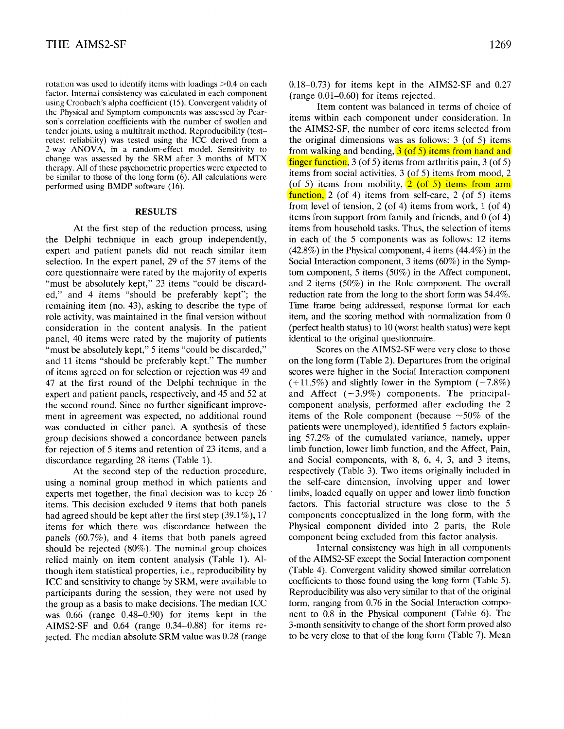rotation was used to identify items with loadings  $>0.4$  on each factor. Internal consistency was calculated in each component using Cronbach's alpha coefficient (15). Convergent validity of the Physical and Symptom components was assessed by Pearson's correlation coefficients with the number of swollen and tender joints, using a multitrait method. Reproducibility (testretest reliability) was tested using the ICC derived from a 2-way **ANOVA,** in a random-effect model. Sensitivity to change was assessed by the SRM after 3 months of MTX therapy. **All** of these psychometric properties were expected to be similar to those of the long form (6). **All** calculations were performed using BMDP software (16).

# **RESULTS**

At the first step of the reduction process, using the Delphi technique in each group independently, expert and patient panels did not reach similar item selection. In the expert panel, 29 of the 57 items of the core questionnaire were rated by the majority of experts "must be absolutely kept," 23 items "could be discarded," and 4 items "should be preferably kept"; the remaining item (no. 43), asking to describe the type of role activity, was maintained in the final version without consideration in the content analysis. In the patient panel, 40 items were rated by the majority of patients "must be absolutely kept," 5 items "could be discarded," and 11 items "should be preferably kept." The number of items agreed on for selection or rejection was 49 and 47 at the first round of the Delphi technique in the expert and patient panels, respectively, and 45 and 52 at the second round. Since no further significant improvement in agreement was expected, no additional round was conducted in either panel. A synthesis of these group decisions showed a concordance between panels for rejection of 5 items and retention of 23 items, and a discordance regarding 28 items (Table 1).

At the second step of the reduction procedure, using a nominal group method in which patients and experts met together, the final decision was to keep 26 items. This decision excluded 9 items that both panels had agreed should be kept after the first step (39.1%), 17 items for which there was discordance between the panels (60.7%), and 4 items that both panels agreed should be rejected (80%). The nominal group choices relied mainly on item content analysis (Table 1). Although item statistical properties, i.e., reproducibility by ICC and sensitivity to change by SRM, were available to participants during the session, they were not used by the group as a basis to make decisions. The median ICC was 0.66 (range 0.48-0.90) for items kept in the AIMS2-SF and  $0.64$  (range  $0.34-0.88$ ) for items rejected. The median absolute SRM value was 0.28 (range  $0.18-0.73$ ) for items kept in the AIMS2-SF and  $0.27$ (range 0.01-0.60) for items rejected.

Item content was balanced in terms of choice of items within each component under consideration. In the AIMS2-SF, the number of core items selected from the original dimensions was as follows: 3 (of 5) items from walking and bending, 3 (of *5)* items from hand and finger function, 3 (of 5) items from arthritis pain, 3 (of *5)*  items from social activities, 3 (of 5) items from mood, 2 (of 5) items from mobility,  $2($  (of 5) items from arm function, 2 (of 4) items from self-care, 2 (of *5)* items from level of tension, 2 (of 4) items from work, 1 (of 4) items from support from family and friends, and 0 (of 4) items from household tasks. Thus, the selection of items in each of the 5 components was as follows: 12 items  $(42.8\%)$  in the Physical component, 4 items  $(44.4\%)$  in the Social lnteraction component, 3 items (60%) in the Symptom component, 5 items (50%) in the Affect component, and 2 items (50%) in the Role component. The overall reduction rate from the long to the short form was 54.4%. Time frame being addressed, response format for each item, and the scoring method with normalization from 0 (perfect health status) to 10 (worst health status) were kept identical to the original questionnaire.

Scores on the AlMS2-SF were very close to those on the long form (Table 2). Departures from the original scores were higher in the Social Interaction component  $(+11.5%)$  and slightly lower in the Symptom  $(-7.8%)$ and Affect  $(-3.9\%)$  components. The principalcomponent analysis, performed after excluding the 2 items of the Role component (because  $\sim$ 50% of the patients were unemployed), identified *5* factors explaining 57.2% of the cumulated variance, namely, upper limb function, lower limb function, and the Affect, Pain, and Social components, with 8, 6, 4, 3, and 3 items, respectively (Table 3). Two items originally included in the self-care dimension, involving upper and lower limbs, loaded equally on upper and lower limb function factors. This factorial structure was close to the 5 components conceptualized in the long form, with the Physical component divided into 2 parts, the Role component being excluded from this factor analysis.

Internal consistency was high in all components of the AIMS2-SF except the Social Interaction component (Table 4). Convergent validity showed similar correlation coefficients to those found using the long form (Table 5). Reproducibility was also very similar to that of the original form, ranging from 0.76 in the Social Interaction component to 0.8 in the Physical component (Table 6). The 3-month sensitivity to change of the short form proved also to be very close to that of the long form (Table 7). Mean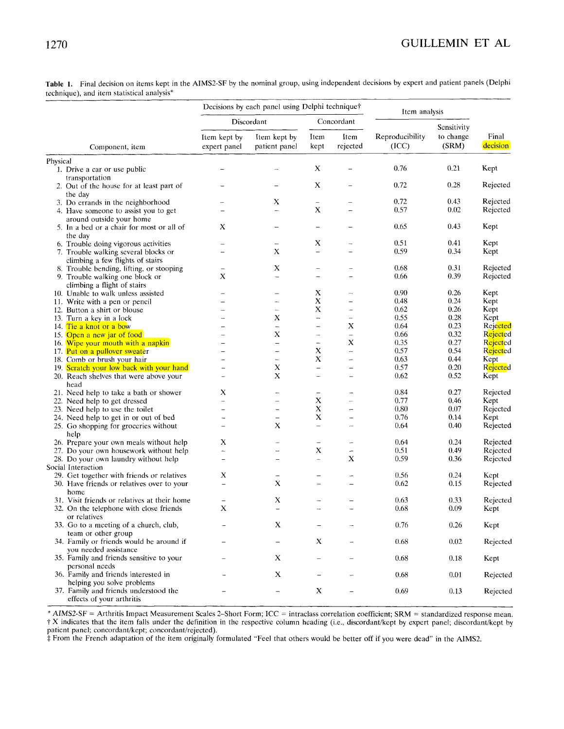| Table 1. Final decision on items kept in the AIMS2-SF by the nominal group, using independent decisions by expert and patient panels (Delphi |  |  |  |
|----------------------------------------------------------------------------------------------------------------------------------------------|--|--|--|
| technique), and item statistical analysis <sup>*</sup>                                                                                       |  |  |  |

|          |                                                                    |                              | Decisions by each panel using Delphi technique† |                               |                          | Item analysis            |                    |                   |
|----------|--------------------------------------------------------------------|------------------------------|-------------------------------------------------|-------------------------------|--------------------------|--------------------------|--------------------|-------------------|
|          |                                                                    |                              | Discordant                                      |                               | Concordant               |                          | Sensitivity        |                   |
|          | Component, item                                                    | Item kept by<br>expert panel | Item kept by<br>patient panel                   | Item<br>kept                  | Item<br>rejected         | Reproducibility<br>(ICC) | to change<br>(SRM) | Final<br>decision |
| Physical |                                                                    |                              |                                                 |                               |                          |                          |                    |                   |
|          | 1. Drive a car or use public                                       |                              |                                                 | X                             |                          | 0.76                     | 0.21               | Kept              |
|          | transportation                                                     |                              |                                                 |                               |                          |                          |                    |                   |
|          | 2. Out of the house for at least part of                           |                              |                                                 | $\mathbf X$                   | $\overline{a}$           | 0.72                     | 0.28               | Rejected          |
|          | the day                                                            |                              |                                                 |                               |                          |                          |                    | Rejected          |
|          | 3. Do errands in the neighborhood                                  |                              | X<br>ш.                                         | $\overline{\phantom{0}}$<br>X | $\overline{\phantom{a}}$ | 0.72<br>0.57             | 0.43<br>0.02       | Rejected          |
|          | 4. Have someone to assist you to get<br>around outside your home   |                              |                                                 |                               |                          |                          |                    |                   |
|          | 5. In a bed or a chair for most or all of                          | X                            |                                                 |                               |                          | 0.65                     | 0.43               | Kept              |
|          | the day                                                            |                              |                                                 |                               |                          |                          |                    |                   |
|          | 6. Trouble doing vigorous activities                               |                              |                                                 | X                             |                          | 0.51                     | 0.41               | Kept              |
|          | 7. Trouble walking several blocks or                               |                              | $\bf{X}$                                        | $\overline{\phantom{a}}$      | $\overline{\phantom{0}}$ | 0.59                     | 0.34               | Kept              |
|          | climbing a few flights of stairs                                   |                              |                                                 |                               |                          |                          |                    |                   |
|          | 8. Trouble bending, lifting, or stooping                           |                              | X                                               |                               |                          | 0.68                     | 0.31               | Rejected          |
|          | 9. Trouble walking one block or                                    | $\mathbf X$                  | $\sim$                                          | $\overline{\phantom{0}}$      | $\sim$                   | 0.66                     | 0.39               | Rejected          |
|          | climbing a flight of stairs                                        |                              |                                                 |                               |                          |                          |                    |                   |
|          | 10. Unable to walk unless assisted                                 |                              |                                                 | X                             | $\sim$                   | 0.90                     | 0.26               | Kept              |
|          | 11. Write with a pen or pencil                                     |                              | $\sim$                                          | X<br>$\mathbf X$              | $\overline{\phantom{a}}$ | 0.48                     | 0.24               | Kept              |
|          | 12. Button a shirt or blouse                                       |                              |                                                 |                               | $\overline{\phantom{a}}$ | 0.62                     | 0.26               | Kept              |
|          | 13. Turn a key in a lock                                           |                              | X                                               | $\overline{\phantom{a}}$      | $\overline{\phantom{a}}$ | 0.55                     | 0.28               | Kept              |
|          | 14. Tie a knot or a bow                                            |                              |                                                 | $\overline{\phantom{0}}$      | X                        | 0.64                     | 0.23               | Rejected          |
|          | 15. Open a new jar of food                                         |                              | $\bf{X}$                                        | $\overline{a}$                | $\qquad \qquad -$        | 0.66                     | 0.32               | Rejected          |
|          | 16. Wipe your mouth with a napkin                                  |                              | $\overline{\phantom{0}}$                        | $\overline{\phantom{a}}$      | X                        | 0.35                     | 0.27               | Rejected          |
|          | 17. Put on a pullover sweater                                      |                              | $\overline{\phantom{0}}$                        | $\mathbf X$                   | $\overline{\phantom{a}}$ | 0.57                     | 0.54               | Rejected          |
|          | 18. Comb or brush your hair                                        |                              | $\overline{\phantom{a}}$                        | $\mathbf X$                   | ÷                        | 0.63                     | 0.44               | Kept              |
|          | 19. Scratch your low back with your hand                           |                              | X                                               | $\overline{\phantom{0}}$      | $\overline{\phantom{0}}$ | 0.57                     | 0.20               | Rejected          |
|          | 20. Reach shelves that were above your                             |                              | X                                               | u.                            | $\overline{\phantom{0}}$ | 0.62                     | 0.52               | Kept              |
|          | head                                                               |                              |                                                 |                               |                          |                          |                    |                   |
|          | 21. Need help to take a bath or shower                             | X                            | $\overline{\phantom{a}}$                        | $\qquad \qquad -$             | ÷                        | 0.84                     | 0.27               | Rejected          |
|          | 22. Need help to get dressed                                       | $\overline{\phantom{a}}$     | $\overline{\phantom{a}}$                        | $\mathbf X$                   | .<br>Vite                | 0.77                     | 0.46               | Kept              |
|          | 23. Need help to use the toilet                                    |                              | $\frac{1}{2}$                                   | $\mathbf X$                   | ÷                        | 0.80                     | 0.07               | Rejected          |
|          | 24. Need help to get in or out of bed                              |                              | $\qquad \qquad -$                               | X                             | $\overline{a}$           | 0.76                     | 0.14               | Kept              |
|          | 25. Go shopping for groceries without                              | $\overline{\phantom{0}}$     | X                                               | $\overline{\phantom{0}}$      | ÷.                       | 0.64                     | 0.40               | Rejected          |
|          | help                                                               |                              |                                                 |                               |                          |                          |                    |                   |
|          | 26. Prepare your own meals without help                            | Х                            |                                                 | $\qquad \qquad -$             |                          | 0.64                     | 0.24               | Rejected          |
|          | 27. Do your own housework without help                             | -                            | $\overline{a}$                                  | X                             | $\overline{\phantom{0}}$ | 0.51                     | 0.49               | Rejected          |
|          | 28. Do your own laundry without help                               | ÷,                           | <u></u>                                         | ÷,                            | X                        | 0.59                     | 0.36               | Rejected          |
|          | Social Interaction                                                 |                              |                                                 |                               |                          |                          |                    |                   |
|          | 29. Get together with friends or relatives                         | Х                            |                                                 |                               |                          | 0.56                     | 0.24               | Kept              |
|          | 30. Have friends or relatives over to your<br>home                 | $\overline{\phantom{0}}$     | $\boldsymbol{\mathsf{X}}$                       | u.                            |                          | 0.62                     | 0.15               | Rejected          |
|          | 31. Visit friends or relatives at their home                       |                              | X                                               |                               |                          | 0.63                     | 0.33               | Rejected          |
|          | 32. On the telephone with close friends                            | X                            |                                                 |                               |                          | 0.68                     | 0.09               | Kept              |
|          | or relatives<br>33. Go to a meeting of a church, club,             |                              | X                                               |                               |                          | 0.76                     | 0.26               |                   |
|          | team or other group                                                |                              |                                                 |                               |                          |                          |                    | Kept              |
|          | 34. Family or friends would be around if<br>you needed assistance  |                              | $\qquad \qquad -$                               | X                             |                          | 0.68                     | 0.02               | Rejected          |
|          | 35. Family and friends sensitive to your                           |                              | X                                               |                               |                          | 0.68                     | 0.18               | Kept              |
|          | personal needs                                                     |                              |                                                 |                               |                          |                          |                    |                   |
|          | 36. Family and friends interested in                               |                              | X                                               |                               |                          | 0.68                     | 0.01               | Rejected          |
|          | helping you solve problems                                         |                              |                                                 |                               |                          |                          |                    |                   |
|          | 37. Family and friends understood the<br>effects of your arthritis |                              |                                                 | $\mathbf X$                   |                          | 0.69                     | 0.13               | Rejected          |

\* AIMS2-SF = Arthritis Impact Measurement Scales 2–Short Form; ICC = intraclass correlation coefficient; SRM = standardized response mean.<br>† X indicates that the item falls under the definition in the respective column hea patient panel; concordant/kept; concordant/rejected).

\$ From the French adaptation of the item originally formulated "Feel that others would be better off if you were dead" in thc **AIMS2.**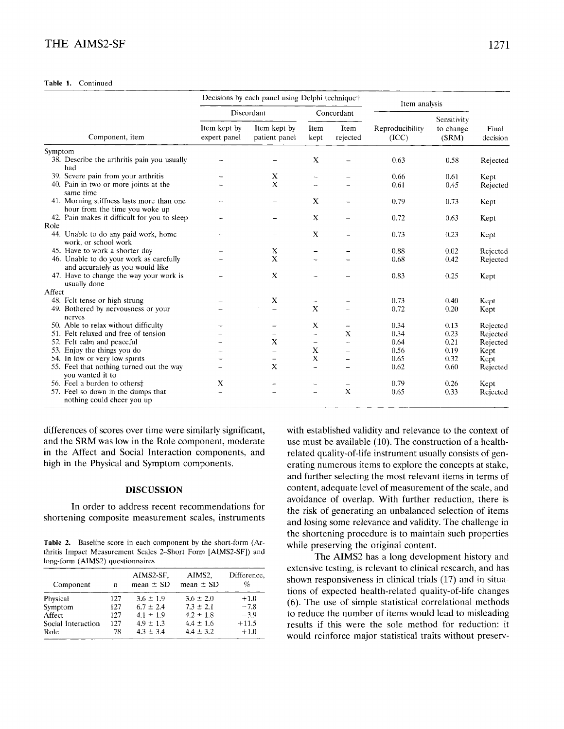#### **Table 1.** Continued

|         |                                                                             |                              | Decisions by each panel using Delphi technique† |                   |                          | Item analysis            |                                   |                   |
|---------|-----------------------------------------------------------------------------|------------------------------|-------------------------------------------------|-------------------|--------------------------|--------------------------|-----------------------------------|-------------------|
|         |                                                                             |                              | Discordant                                      |                   | Concordant               |                          |                                   |                   |
|         | Component, item                                                             | Item kept by<br>expert panel | Item kept by<br>patient panel                   | Item<br>kept      | Item<br>rejected         | Reproducibility<br>(ICC) | Sensitivity<br>to change<br>(SRM) | Final<br>decision |
| Symptom |                                                                             |                              |                                                 |                   |                          |                          |                                   |                   |
|         | 38. Describe the arthritis pain you usually<br>had                          |                              |                                                 | X                 |                          | 0.63                     | 0.58                              | Rejected          |
|         | 39. Severe pain from your arthritis                                         |                              | X                                               |                   |                          | 0.66                     | 0.61                              | Kept              |
|         | 40. Pain in two or more joints at the<br>same time                          |                              | X                                               |                   |                          | 0.61                     | 0.45                              | Rejected          |
|         | 41. Morning stiffness lasts more than one<br>hour from the time you woke up |                              | $\overline{\phantom{0}}$                        | X                 |                          | 0.79                     | 0.73                              | Kept              |
|         | 42. Pain makes it difficult for you to sleep                                |                              |                                                 | X                 |                          | 0.72                     | 0.63                              | Kept              |
| Role    |                                                                             |                              |                                                 |                   |                          |                          |                                   |                   |
|         | 44. Unable to do any paid work, home<br>work, or school work                |                              |                                                 | X                 |                          | 0.73                     | 0.23                              | Kept              |
|         | 45. Have to work a shorter day                                              |                              | X                                               |                   |                          | 0.88                     | 0.02                              | Rejected          |
|         | 46. Unable to do your work as carefully<br>and accurately as you would like |                              | X                                               |                   |                          | 0.68                     | 0.42                              | Rejected          |
|         | 47. Have to change the way your work is<br>usually done                     |                              | $\bf{X}$                                        |                   |                          | 0.83                     | 0.25                              | Kept              |
| Affect  |                                                                             |                              |                                                 |                   |                          |                          |                                   |                   |
|         | 48. Felt tense or high strung                                               |                              | X                                               |                   |                          | 0.73                     | 0.40                              | Kept              |
|         | 49. Bothered by nervousness or your<br>nerves                               |                              | $\overline{\phantom{0}}$                        | $\mathbf{X}$      |                          | 0.72                     | 0.20                              | Kept              |
|         | 50. Able to relax without difficulty                                        |                              |                                                 | X                 |                          | 0.34                     | 0.13                              | Rejected          |
|         | 51. Felt relaxed and free of tension                                        |                              | $\overline{\phantom{0}}$                        | $\sim$            | X                        | 0.34                     | 0.23                              | Rejected          |
|         | 52. Felt calm and peaceful                                                  |                              | X                                               | $\qquad \qquad -$ |                          | 0.64                     | 0.21                              | Rejected          |
|         | 53. Enjoy the things you do                                                 |                              |                                                 | X                 | $\equiv$                 | 0.56                     | 0.19                              | Kept              |
|         | 54. In low or very low spirits                                              |                              |                                                 | $\bf{X}$          | $\overline{\phantom{0}}$ | 0.65                     | 0.32                              | Kept              |
|         | 55. Feel that nothing turned out the way<br>you wanted it to                |                              | X                                               | L.                |                          | 0.62                     | 0.60                              | Rejected          |
|         | 56. Feel a burden to others#                                                | X                            |                                                 | $\sim$            | $\overline{\phantom{m}}$ | 0.79                     | 0.26                              | Kept              |
|         | 57. Feel so down in the dumps that<br>nothing could cheer you up            |                              |                                                 |                   | $\bf{X}$                 | 0.65                     | 0.33                              | Rejected          |

differences of scores over time were similarly significant, and the SRM was low in the Role component, moderate in the Affect and Social Interaction components, and high in the Physical and Symptom components.

# **DISCUSSION**

In order to address recent recommendations for shortening composite measurement scales, instruments

**Table 2.** Baseline score in each component by the short-form **(Ar**thritis Impact Measurement Scales 2-Short Form [AIMS2-SF]) and long-form (AIMS2) questionnaires

| Component          | n   | AIMS2-SF.<br>mean $\pm$ SD | AIMS2.<br>mean $\pm$ SD | Difference.<br>$\%$ |
|--------------------|-----|----------------------------|-------------------------|---------------------|
| Physical           | 127 | $3.6 \pm 1.9$              | $3.6 \pm 2.0$           | $+1.0$              |
| Symptom            | 127 | $6.7 + 2.4$                | $7.3 \pm 2.1$           | $-7.8$              |
| Affect             | 127 | $4.1 \pm 1.9$              | $4.2 \pm 1.8$           | $-3.9$              |
| Social Interaction | 127 | $4.9 + 1.3$                | $4.4 + 1.6$             | $+11.5$             |
| Role               | 78  | $4.3 \pm 3.4$              | $4.4 \pm 3.2$           | $+1.0$              |

with established validity and relevance to the context of use must be available (10). The construction of a healthrelated quality-of-life instrument usually consists of generating numerous items to explore the concepts at stake, and further selecting the most relevant items in terms of content, adequate level of measurement of the scale, and avoidance of overlap. With further reduction, there is the risk of generating an unbalanced selection of items and losing some relevance and validity. The challenge in the shortening procedure is to maintain such properties while preserving the original content.

The AIMS2 has a long development history and extensive testing, is relevant to clinical research, and has shown responsiveness in clinical trials (17) and in situations of expected health-related quality-of-life changes *(6).* The use of simple statistical correlational methods to reduce the number of items would lead to misleading results if this were the sole method for reduction: it would reinforce major statistical traits without preserv-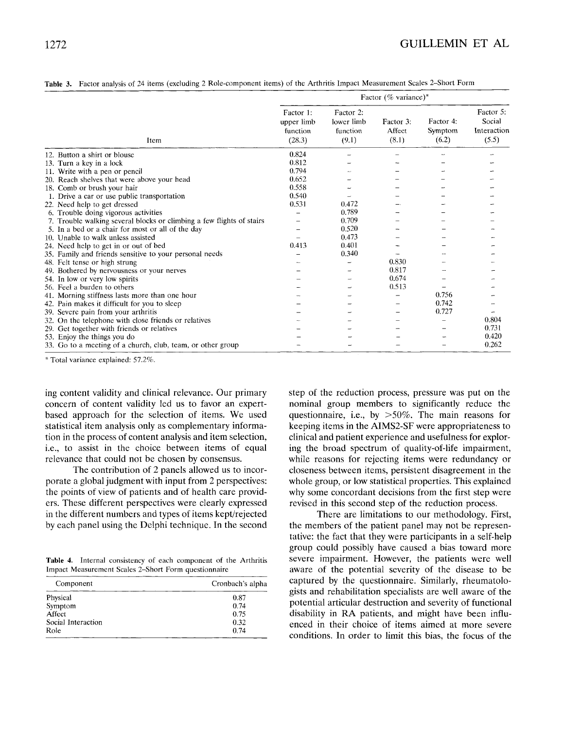|                                                                       | Factor (% variance)*                          |                                              |                              |                               |                                             |  |  |  |
|-----------------------------------------------------------------------|-----------------------------------------------|----------------------------------------------|------------------------------|-------------------------------|---------------------------------------------|--|--|--|
| Item                                                                  | Factor 1:<br>upper limb<br>function<br>(28.3) | Factor 2:<br>lower limb<br>function<br>(9.1) | Factor 3:<br>Affect<br>(8.1) | Factor 4:<br>Symptom<br>(6.2) | Factor 5:<br>Social<br>Interaction<br>(5.5) |  |  |  |
| 12. Button a shirt or blouse                                          | 0.824                                         |                                              |                              |                               |                                             |  |  |  |
| 13. Turn a key in a lock                                              | 0.812                                         |                                              |                              |                               |                                             |  |  |  |
| 11. Write with a pen or pencil                                        | 0.794                                         |                                              |                              |                               |                                             |  |  |  |
| 20. Reach shelves that were above your head                           | 0.652                                         |                                              |                              |                               |                                             |  |  |  |
| 18. Comb or brush your hair                                           | 0.558                                         |                                              |                              |                               |                                             |  |  |  |
| 1. Drive a car or use public transportation                           | 0.540                                         |                                              |                              |                               |                                             |  |  |  |
| 22. Need help to get dressed                                          | 0.531                                         | 0.472                                        |                              |                               |                                             |  |  |  |
| 6. Trouble doing vigorous activities                                  |                                               | 0.789                                        |                              |                               |                                             |  |  |  |
| 7. Trouble walking several blocks or climbing a few flights of stairs |                                               | 0.709                                        |                              |                               |                                             |  |  |  |
| 5. In a bed or a chair for most or all of the day                     |                                               | 0.520                                        |                              |                               |                                             |  |  |  |
| 10. Unable to walk unless assisted                                    |                                               | 0.473                                        |                              |                               |                                             |  |  |  |
| 24. Need help to get in or out of bed                                 | 0.413                                         | 0.401                                        |                              |                               |                                             |  |  |  |
| 35. Family and friends sensitive to your personal needs               |                                               | 0.340                                        |                              |                               |                                             |  |  |  |
| 48. Felt tense or high strung                                         |                                               | ÷                                            | 0.830                        |                               |                                             |  |  |  |
| 49. Bothered by nervousness or your nerves                            |                                               |                                              | 0.817                        |                               |                                             |  |  |  |
| 54. In low or very low spirits                                        |                                               |                                              | 0.674                        |                               |                                             |  |  |  |
| 56. Feel a burden to others                                           |                                               |                                              | 0.513                        |                               |                                             |  |  |  |
| 41. Morning stiffness lasts more than one hour                        |                                               |                                              |                              | 0.756                         |                                             |  |  |  |
| 42. Pain makes it difficult for you to sleep                          |                                               |                                              |                              | 0.742                         |                                             |  |  |  |
| 39. Severe pain from your arthritis                                   |                                               |                                              |                              | 0.727                         |                                             |  |  |  |
| 32. On the telephone with close friends or relatives                  |                                               |                                              |                              |                               | 0.804                                       |  |  |  |
| 29. Get together with friends or relatives                            |                                               |                                              |                              |                               | 0.731                                       |  |  |  |
| 53. Enjoy the things you do                                           |                                               |                                              |                              |                               | 0.420                                       |  |  |  |
| 33. Go to a meeting of a church, club, team, or other group           |                                               |                                              |                              |                               | 0.262                                       |  |  |  |

**Table 3.** Factor analysis of 24 items (excluding 2 Role-component items) of the Arthritis Impact Measurement Scales 2-Short Form

\* Total variance explained: 57.2%.

ing content validity and clinical relevance. Our primary concern of content validity led us to favor an expertbased approach for the selection of items. We used statistical item analysis only as complementary information in the process of content analysis and item selection, i.e., to assist in the choice between items of equal relevance that could not be chosen by consensus.

The contribution of 2 panels allowed us to incorporate a global judgment with input from 2 perspectives: the points of view of patients and of health care providers. These different perspectives were clearly expressed in the different numbers and types of items kept/rejected by each panel using the Delphi technique. In the second

**Table 4.**  Internal consistency of each component of the Arthritis Impact Measurement Scales 2-Short Form questionnaire

| Component          | Cronbach's alpha |
|--------------------|------------------|
| Physical           | 0.87             |
| Symptom            | 0.74             |
| Affect             | 0.75             |
| Social Interaction | 0.32             |
| Role               | 0.74             |

step of the reduction process, pressure was put on the nominal group members to significantly reduce the questionnaire, i.e., by *>50%.* The main reasons for keeping items in the AIMS2-SF were appropriateness to clinical and patient experience and usefulness for exploring the broad spectrum of quality-of-life impairment, while reasons for rejecting items were redundancy or closeness between items, persistent disagreement in the whole group, or low statistical properties. This explained why some concordant decisions from the first step were revised in this second step of the reduction process.

There are limitations to our methodology. First, the members of the patient panel may not be representative: the fact that they were participants in a self-help group could possibly have caused a bias toward more severe impairment. However, the patients were well aware of the potential severity of the disease to be captured by the questionnaire. Similarly, rheumatologists and rehabilitation specialists are well aware of the potential articular destruction and severity of functional disability in RA patients, and might have been influenced in their choice of items aimed at more severe conditions. In order to limit this bias, the focus of the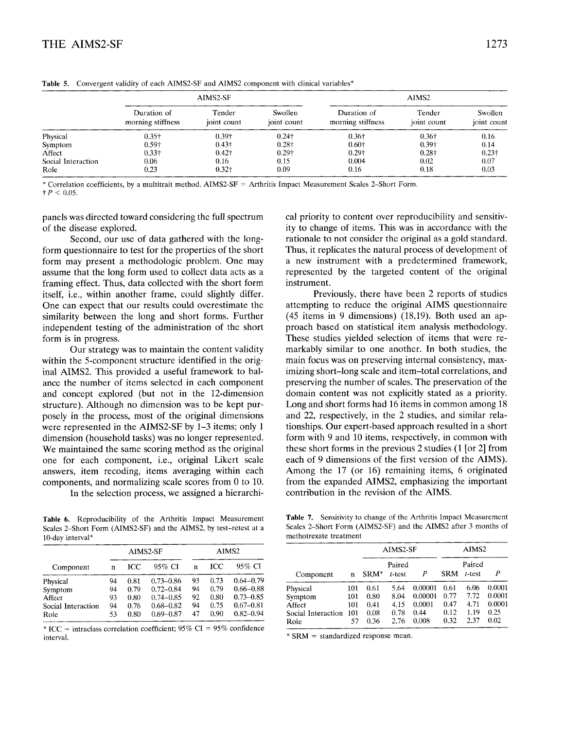|                    |                                  | AIMS2-SF              |                        | AIMS2                            |                       |                        |  |
|--------------------|----------------------------------|-----------------------|------------------------|----------------------------------|-----------------------|------------------------|--|
|                    | Duration of<br>morning stiffness | Tender<br>joint count | Swollen<br>joint count | Duration of<br>morning stiffness | Tender<br>joint count | Swollen<br>joint count |  |
| Physical           | $0.35\dagger$                    | $0.39+$               | $0.24\dagger$          | $0.36\dagger$                    | $0.36\dagger$         | 0.16                   |  |
| Symptom            | $0.59+$                          | 0.43 <sub>7</sub>     | 0.28+                  | $0.60+$                          | $0.39+$               | 0.14                   |  |
| Affect             | $0.33\dagger$                    | $0.42\dagger$         | $0.29+$                | 0.29 <sub>†</sub>                | $0.28 +$              | $0.23 +$               |  |
| Social Interaction | 0.06                             | 0.16                  | 0.15                   | 0.004                            | 0.02                  | 0.07                   |  |
| Role               | 0.23                             | $0.32\dagger$         | 0.09                   | 0.16                             | 0.18                  | 0.03                   |  |

**Table 5.** Convergent validity of each AIMS2-SF and AIMS2 component with clinical variables\*

\* Correlation coefficients, by a multitrait method. AIMS2-SF = Arthritis Impact Measurement Scales 2-Short Form.  $t P < 0.05$ .

panels was directed toward considering the full spectrum of the disease explored.

Second, our use of data gathered with the longform questionnaire to test for the properties of the short form may present a methodologic problem. One may assume that the long form used to collect data acts as a framing effect. Thus, data collected with the short form itself, i.e., within another frame, could slightly differ. One can expect that our results could overestimate the similarity between the long and short forms. Further independent testing of the administration of the short form is in progress.

Our strategy was to maintain the content validity within the 5-component structure identified in the original AIMS2. This provided a useful framework to balance the number of items selected in each component and concept explored (but not in the 12-dimension structure). Although no dimension was to be kept purposely in the process, most of the original dimensions were represented in the AIMS2-SF by 1-3 items; only 1 dimension (household tasks) was no longer represented. We maintained the same scoring method as the original one for each component, i.e., original Likert scale answers, item recoding, items averaging within each components, and normalizing scale scores from 0 to 10.

In the selection process, we assigned a hierarchi-

**Table 6.** Reproducibility of the Arthritis Impact Measurement Scales 2-Short Form (AIMS2-SF) and the AIMS2, by test-retest at a 10-day interval\*

|                    |    | AIMS2-SF |               | AIMS2 |      |               |
|--------------------|----|----------|---------------|-------|------|---------------|
| Component          | n  | ЮC       | 95% CI        | n     | ІСС  | 95% CI        |
| Physical           | 94 | 0.81     | $0.73 - 0.86$ | 93    | 0.73 | $0.64 - 0.79$ |
| Symptom            | 94 | 0.79     | $0.72 - 0.84$ | 94    | 0.79 | $0.66 - 0.88$ |
| Affect             | 93 | 0.80     | $0.74 - 0.85$ | 92    | 0.80 | $0.73 - 0.85$ |
| Social Interaction | 94 | 0.76     | $0.68 - 0.82$ | 94    | 0.75 | $0.67 - 0.81$ |
| Role               | 53 | 0.80     | $0.69 - 0.87$ | 47    | 0.90 | $0.82 - 0.94$ |

\* ICC = intraclass correlation coefficient;  $95\%$  CI =  $95\%$  confidence interval.

cal priority to content over reproducibility and sensitivity to change of items. This was in accordance with the rationale to not consider the original as a gold standard. Thus, it replicates the natural process of development of a new instrument with a predetermined framework, represented by the targeted content of the original instrument.

Previously, there have been 2 reports of studies attempting to reduce the original AIMS questionnaire (45 items in 9 dimensions) (18,19). Both used an approach based on statistical item analysis methodology. These studies yielded selection of items that were remarkably similar to one another. In both studies, the main focus was on preserving internal consistency, maximizing short-long scale and item-total correlations, and preserving the number of scales. The preservation of the domain content was not explicitly stated as a priority. Long and short forms had 16 items in common among 18 and 22, respectively, in the 2 studies, and similar relationships. Our expert-based approach resulted in a short form with 9 and 10 items, respectively, in common with these short forms in the previous 2 studies (1 [or 21 from each of 9 dimensions of the first version of the AIMS). Among the 17 (or 16) remaining items, 6 originated from the expanded AIMS2, emphasizing the important contribution in the revision of the AIMS.

**Table 7.** Sensitivity to change of the Arthritis Impact Measurement Scales 2-Short Form (AIMS2-SF) and the AIMS2 after 3 months of methotrexate treatment

|                    |     |                  | AIMS2-SF         |         | AIMS2      |                     |        |  |
|--------------------|-----|------------------|------------------|---------|------------|---------------------|--------|--|
| Component          | n   | SRM <sup>*</sup> | Paired<br>t-test | P       | <b>SRM</b> | Paired<br>$t$ -test | Р      |  |
| Physical           | 101 | 0.61             | 5.64             | 0.00001 | 0.61       | 6.06                | 0.0001 |  |
| Symptom            | 101 | 0.80             | 8.04             | 0.00001 | 0.77       | 7.72                | 0.0001 |  |
| Affect             | 101 | 0.41             | 4.15             | 0.0001  | 0.47       | 4.71                | 0.0001 |  |
| Social Interaction | 101 | 0.08             | 0.78             | 0.44    | 0.12       | 1.19                | 0.25   |  |
| Role               |     | 0.36             | 2.76             | 0.008   | 0.32       | 2.37                | 0.02   |  |

\* SRM = standardized response mean.